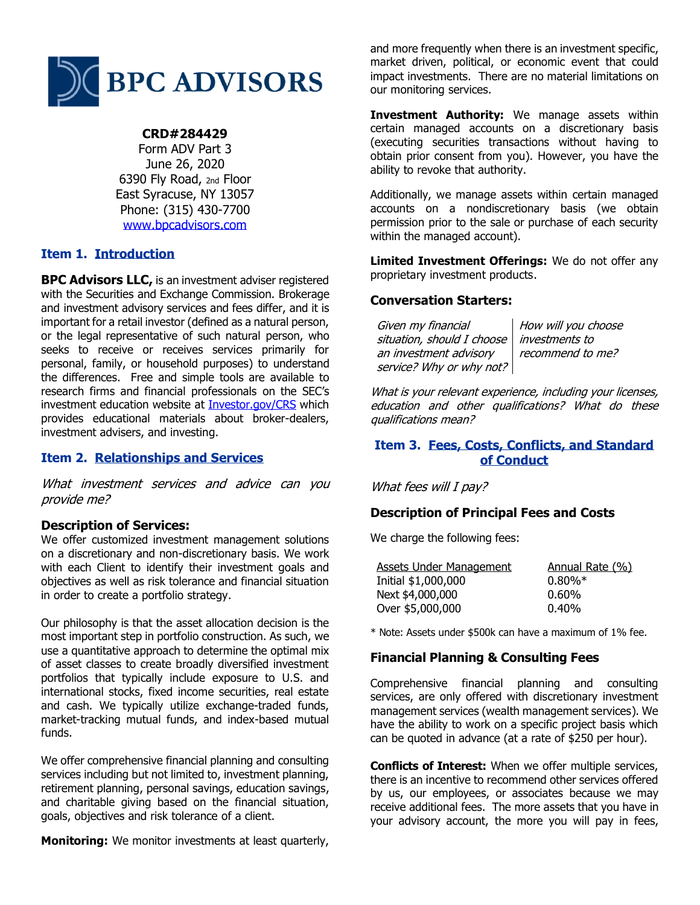

## **CRD#284429**

Form ADV Part 3 June 26, 2020 6390 Fly Road, 2nd Floor East Syracuse, NY 13057 Phone: (315) 430-7700 [www.bpcadvisors.com](http://www.bpcadvisors.com/)

# **Item 1. Introduction**

**BPC Advisors LLC,** is an investment adviser registered with the Securities and Exchange Commission. Brokerage and investment advisory services and fees differ, and it is important for a retail investor (defined as a natural person, or the legal representative of such natural person, who seeks to receive or receives services primarily for personal, family, or household purposes) to understand the differences. Free and simple tools are available to research firms and financial professionals on the SEC's investment education website at [Investor.gov/CRS](http://investor.gov/CRS,) which provides educational materials about broker-dealers, investment advisers, and investing.

## **Item 2. Relationships and Services**

What investment services and advice can you provide me?

#### **Description of Services:**

We offer customized investment management solutions on a discretionary and non-discretionary basis. We work with each Client to identify their investment goals and objectives as well as risk tolerance and financial situation in order to create a portfolio strategy.

Our philosophy is that the asset allocation decision is the most important step in portfolio construction. As such, we use a quantitative approach to determine the optimal mix of asset classes to create broadly diversified investment portfolios that typically include exposure to U.S. and international stocks, fixed income securities, real estate and cash. We typically utilize exchange-traded funds, market-tracking mutual funds, and index-based mutual funds.

We offer comprehensive financial planning and consulting services including but not limited to, investment planning, retirement planning, personal savings, education savings, and charitable giving based on the financial situation, goals, objectives and risk tolerance of a client.

**Monitoring:** We monitor investments at least quarterly,

and more frequently when there is an investment specific, market driven, political, or economic event that could impact investments. There are no material limitations on our monitoring services.

**Investment Authority:** We manage assets within certain managed accounts on a discretionary basis (executing securities transactions without having to obtain prior consent from you). However, you have the ability to revoke that authority.

Additionally, we manage assets within certain managed accounts on a nondiscretionary basis (we obtain permission prior to the sale or purchase of each security within the managed account).

**Limited Investment Offerings:** We do not offer any proprietary investment products.

### **Conversation Starters:**

Given my financial situation, should I choose an investment advisory service? Why or why not?

How will you choose investments to recommend to me?

What is your relevant experience, including your licenses, education and other qualifications? What do these qualifications mean?

### **Item 3. Fees, Costs, Conflicts, and Standard of Conduct**

What fees will I pay?

## **Description of Principal Fees and Costs**

We charge the following fees:

| Assets Under Management | Annual Rate (%) |
|-------------------------|-----------------|
| Initial \$1,000,000     | $0.80\%*$       |
| Next \$4,000,000        | $0.60\%$        |
| Over \$5,000,000        | $0.40\%$        |

\* Note: Assets under \$500k can have a maximum of 1% fee.

## **Financial Planning & Consulting Fees**

Comprehensive financial planning and consulting services, are only offered with discretionary investment management services (wealth management services). We have the ability to work on a specific project basis which can be quoted in advance (at a rate of \$250 per hour).

**Conflicts of Interest:** When we offer multiple services, there is an incentive to recommend other services offered by us, our employees, or associates because we may receive additional fees. The more assets that you have in your advisory account, the more you will pay in fees,